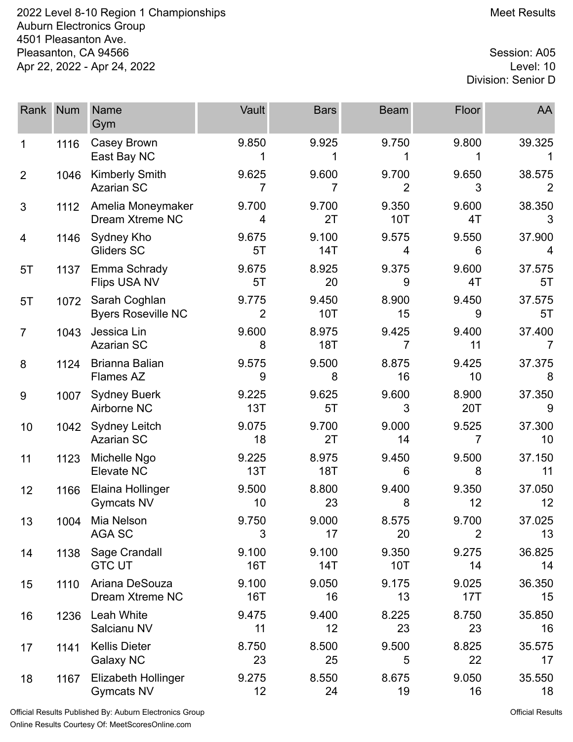2022 Level 8-10 Region 1 Championships Meet Results Auburn Electronics Group 4501 Pleasanton Ave. Pleasanton, CA 94566 Session: A05<br>Apr 22, 2022 - Apr 24, 2022 Apr 22, 2022 - Apr 24, 2022

Division: Senior D

| Rank           | <b>Num</b> | <b>Name</b><br>Gym                         | Vault               | <b>Bars</b>         | <b>Beam</b>             | Floor                   | AA           |
|----------------|------------|--------------------------------------------|---------------------|---------------------|-------------------------|-------------------------|--------------|
| 1              | 1116       | Casey Brown<br>East Bay NC                 | 9.850               | 9.925               | 9.750                   | 9.800                   | 39.325       |
| $\overline{2}$ | 1046       | <b>Kimberly Smith</b><br><b>Azarian SC</b> | 9.625<br>7          | 9.600<br>7          | 9.700<br>$\overline{2}$ | 9.650<br>3              | 38.575       |
| 3              | 1112       | Amelia Moneymaker<br>Dream Xtreme NC       | 9.700<br>4          | 9.700<br>2T         | 9.350<br>10T            | 9.600<br>4T             | 38.350<br>3  |
| 4              | 1146       | Sydney Kho<br>Gliders SC                   | 9.675<br>5T         | 9.100<br>14T        | 9.575<br>4              | 9.550<br>6              | 37.900<br>4  |
| 5T             | 1137       | Emma Schrady<br>Flips USA NV               | 9.675<br>5T         | 8.925<br>20         | 9.375<br>9              | 9.600<br>4T             | 37.575<br>5T |
| 5T             | 1072       | Sarah Coghlan<br><b>Byers Roseville NC</b> | 9.775<br>2          | 9.450<br>10T        | 8.900<br>15             | 9.450<br>9              | 37.575<br>5T |
| $\overline{7}$ | 1043       | Jessica Lin<br><b>Azarian SC</b>           | 9.600<br>8          | 8.975<br><b>18T</b> | 9.425<br>7              | 9.400<br>11             | 37.400       |
| 8              | 1124       | Brianna Balian<br>Flames AZ                | 9.575<br>9          | 9.500<br>8          | 8.875<br>16             | 9.425<br>10             | 37.375<br>8  |
| 9              | 1007       | <b>Sydney Buerk</b><br>Airborne NC         | 9.225<br>13T        | 9.625<br>5T         | 9.600<br>3              | 8.900<br>20T            | 37.350<br>9  |
| 10             | 1042       | <b>Sydney Leitch</b><br><b>Azarian SC</b>  | 9.075<br>18         | 9.700<br>2T         | 9.000<br>14             | 9.525<br>7              | 37.300<br>10 |
| 11             | 1123       | Michelle Ngo<br>Elevate NC                 | 9.225<br>13T        | 8.975<br><b>18T</b> | 9.450<br>6              | 9.500<br>8              | 37.150<br>11 |
| 12             | 1166       | Elaina Hollinger<br><b>Gymcats NV</b>      | 9.500<br>10         | 8.800<br>23         | 9.400<br>8              | 9.350<br>12             | 37.050<br>12 |
| 13             | 1004       | Mia Nelson<br>AGA SC                       | 9.750<br>3          | 9.000<br>17         | 8.575<br>20             | 9.700<br>$\overline{2}$ | 37.025<br>13 |
| 14             | 1138       | Sage Crandall<br><b>GTC UT</b>             | 9.100<br><b>16T</b> | 9.100<br>14T        | 9.350<br><b>10T</b>     | 9.275<br>14             | 36.825<br>14 |
| 15             | 1110       | Ariana DeSouza<br>Dream Xtreme NC          | 9.100<br><b>16T</b> | 9.050<br>16         | 9.175<br>13             | 9.025<br>17T            | 36.350<br>15 |
| 16             | 1236       | Leah White<br>Salcianu NV                  | 9.475<br>11         | 9.400<br>12         | 8.225<br>23             | 8.750<br>23             | 35.850<br>16 |
| 17             | 1141       | <b>Kellis Dieter</b><br><b>Galaxy NC</b>   | 8.750<br>23         | 8.500<br>25         | 9.500<br>5              | 8.825<br>22             | 35.575<br>17 |
| 18             | 1167       | Elizabeth Hollinger<br><b>Gymcats NV</b>   | 9.275<br>12         | 8.550<br>24         | 8.675<br>19             | 9.050<br>16             | 35.550<br>18 |